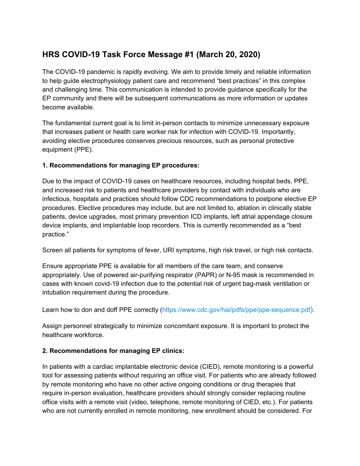## **HRS COVID-19 Task Force Message #1 (March 20, 2020)**

The COVID-19 pandemic is rapidly evolving. We aim to provide timely and reliable information to help guide electrophysiology patient care and recommend "best practices" in this complex and challenging time. This communication is intended to provide guidance specifically for the EP community and there will be subsequent communications as more information or updates become available.

The fundamental current goal is to limit in-person contacts to minimize unnecessary exposure that increases patient or health care worker risk for infection with COVID-19. Importantly, avoiding elective procedures conserves precious resources, such as personal protective equipment (PPE).

## **1. Recommendations for managing EP procedures:**

Due to the impact of COVID-19 cases on healthcare resources, including hospital beds, PPE, and increased risk to patients and healthcare providers by contact with individuals who are infectious, hospitals and practices should follow CDC recommendations to postpone elective EP procedures. Elective procedures may include, but are not limited to, ablation in clinically stable patients, device upgrades, most primary prevention ICD implants, left atrial appendage closure device implants, and implantable loop recorders. This is currently recommended as a "best practice."

Screen all patients for symptoms of fever, URI symptoms, high risk travel, or high risk contacts.

Ensure appropriate PPE is available for all members of the care team, and conserve appropriately. Use of powered air-purifying respirator (PAPR) or N-95 mask is recommended in cases with known covid-19 infection due to the potential risk of urgent bag-mask ventilation or intubation requirement during the procedure.

Learn how to don and doff PPE correctly [\(https://www.cdc.gov/hai/pdfs/ppe/ppe-sequence.pdf](https://www.cdc.gov/hai/pdfs/ppe/ppe-sequence.pdf)).

Assign personnel strategically to minimize concomitant exposure. It is important to protect the healthcare workforce.

## **2. Recommendations for managing EP clinics:**

In patients with a cardiac implantable electronic device (CIED), remote monitoring is a powerful tool for assessing patients without requiring an office visit. For patients who are already followed by remote monitoring who have no other active ongoing conditions or drug therapies that require in-person evaluation, healthcare providers should strongly consider replacing routine office visits with a remote visit (video, telephone, remote monitoring of CIED, etc.). For patients who are not currently enrolled in remote monitoring, new enrollment should be considered. For